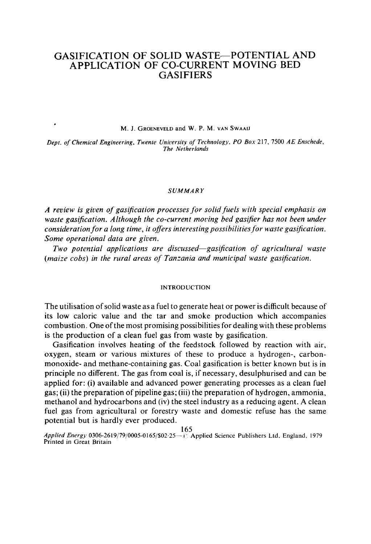# **GASIFICATION OF SOLID WASTE--POTENTIAL AND APPLICATION OF CO-CURRENT MOVING BED GASIFIERS**

M. J. GROENEVELD and W. P. M. VAN SWAAIJ

 $\cdot$ 

*Dept. of Chemical Engineering, Twente Unieersity of Technology, PO Box* 217, 7500 *AE Enschede, The Netherlands* 

#### *SUMMARY*

*A review is given of gasification processes for solid fuels with special emphasis on*  waste gasification. Although the co-current moving bed gasifier has not been under *consideration for a long time, it offers interesting possibilities for waste gasification. Some operational data are given.* 

*Two potential applications are discussed--gasification of agricultural waste (maize cobs) in the rural areas of Tanzania and municipal waste gasification.* 

## **INTRODUCTION**

The utilisation of solid waste as a fuel to generate heat or power is difficult because of its low caloric value and the tar and smoke production which accompanies combustion. One of the most promising possibilities for dealing with these problems is the production ef a clean fuel gas from waste by gasification.

Gasification involves heating of the feedstock followed by reaction with air, oxygen, steam or various mixtures of these to produce a hydrogen-, carbonmonoxide- and methane-containing gas. Coal gasification is better known but is in principle no different. The gas from coal is, if necessary, desulphurised and can be applied for: (i) available and advanced power generating processes as a clean fuel gas; (ii) the preparation of pipeline gas; (iii) the preparation of hydrogen, ammonia, methanol and hydrocarbons and (iv) the steel industry as a reducing agent. A clean fuel gas from agricultural or forestry waste and domestic refuse has the same potential but is hardly ever produced.

165

Applied Energy 0306-2619/79/0005-0165/\$02-25<sup>-2</sup> Applied Science Publishers Ltd, England, 1979 Printed in Great Britain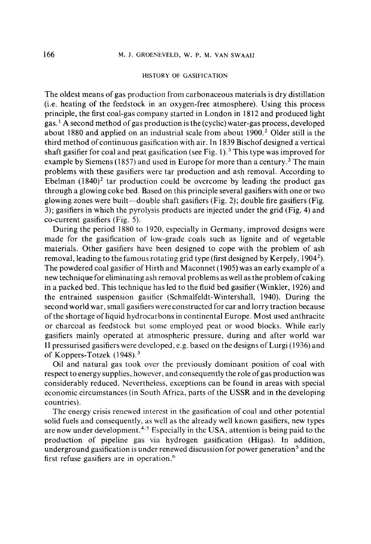## HISTORY OF GASIFICATION

The oldest means of gas production from carbonaceous materials is dry distillation (i.e. heating of the feedstock in an oxygen-free atmosphere). Using this process principle, the first coal-gas company started in London in 1812 and produced light gas. 1 A second method of gas production is the (cyclic) water-gas process, developed about 1880 and applied on an industrial scale from about 1900. 2 Older still is the third method of continuous gasification with air. In 1839 Bischof designed a vertical shaft gasifier for coal and peat gasification (see Fig. 1).<sup>3</sup> This type was improved for example by Siemens (1857) and used in Europe for more than a century.<sup>3</sup> The main problems with these gasifiers were tar production and ash removal. According to Ebelman  $(1840)^2$  tar production could be overcome by leading the product gas through a glowing coke bed. Based on this principle several gasifiers with one or two glowing zones were built—double shaft gasifiers (Fig. 2); double fire gasifiers (Fig. 3); gasifiers in which the pyrolysis products are injected under the grid (Fig. 4) and co-current gasifiers (Fig. 5).

During the period 1880 to 1920, especially in Germany, improved designs were made for the gasification of low-grade coals such as lignite and of vegetable materials. Other gasifiers have been designed to cope with the problem of ash removal, leading to the famous rotating grid type (first designed by Kerpely, 1904<sup>2</sup>). The powdered coal gasifier of Hirth and Maconnet (1905) was an early example of a new technique for eliminating ash removal problems as well as the problem of caking in a packed bed. This technique has led to the fluid bed gasifier (Winkler, 1926) and the entrained suspension gasifier (Schmalfeldt-Wintershall, 1940). During the second world war, small gasifiers were constructed for car and lorry traction because of the shortage of liquid hydrocarbons in continental Europe. Most used anthracite or charcoal as feedstock but some employed peat or wood blocks. While early gasifiers mainly operated at atmospheric pressure, during and after world war II pressurised gasifiers were developed, e.g. based on the designs of Lurgi (1936) and of Koppers-Totzek  $(1948)^3$ 

Oil and natural gas took over the previously dominant position of coal with respect to energy supplies, however, and consequently the role of gas production was considerably reduced. Nevertheless, exceptions can be found in areas with special economic circumstances (in South Africa, parts of the USSR and in the developing countries).

The energy crisis renewed interest in the gasification of coal and other potential solid fuels and consequently, as well as the already well known gasifiers, new types are now under development.<sup>4,5</sup> Especially in the USA, attention is being paid to the production of pipeline gas via hydrogen gasification (Higas). In addition, underground gasification is under renewed discussion for power generation<sup>5</sup> and the first refuse gasifiers are in operation.<sup>6</sup>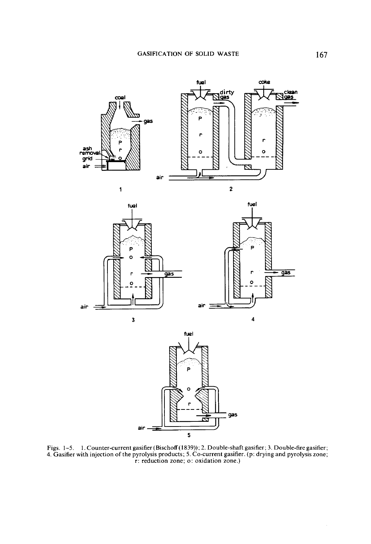

Figs. 1-5. 1. Counter-current gasifier (Bischoff(1839)); 2. Double-shaft gasifier; 3. Double-fire gasifier; 4. Gasifier with injection of the pyrolysis products; 5. Co-current gasifier. (p: drying and pyrolysis zone; r: reduction zone; o: oxidation zone.)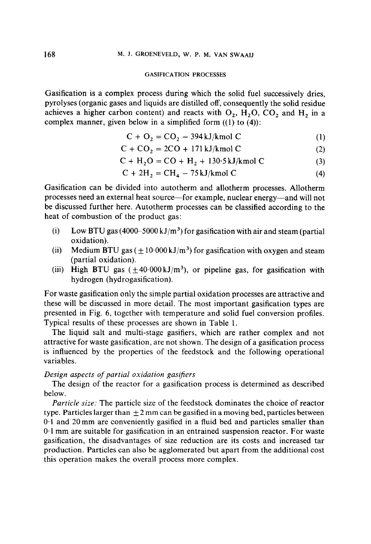#### GASIFICATION PROCESSES

Gasification is a complex process during which the solid fuel successively dries, pyrolyses (organic gases and liquids are distilled off, consequently the solid residue achieves a higher carbon content) and reacts with  $O_2$ ,  $H_2O$ ,  $CO_2$  and  $H_2$  in a complex manner, given below in a simplified form  $((1)$  to  $(4))$ :

$$
C + O2 = CO2 - 394 \text{ kJ/kmol C}
$$
 (1)

$$
C + CO_2 = 2CO + 171 \text{ kJ/kmol C}
$$
 (2)

$$
C + H2O = CO + H2 + 130.5 \text{ kJ/kmol C}
$$
 (3)

$$
C + 2H2 = CH4 - 75 kJ/kmol C
$$
 (4)

Gasification can be divided into autotherm and allotherm processes. Allotherm processes need an external heat source-for example, nuclear energy--and will not be discussed further here. Autotherm processes can be classified according to the heat of combustion of the product gas:

- (i) Low BTU gas (4000–5000 kJ/m<sup>3</sup>) for gasification with air and steam (partial oxidation).
- (ii) Medium BTU gas  $(\pm 10.000 \text{ kJ/m}^3)$  for gasification with oxygen and steam (partial oxidation).
- (iii) High BTU gas  $(\pm 40.000 \text{ kJ/m}^3)$ , or pipeline gas, for gasification with hydrogen (hydrogasification).

For waste gasification only the simple partial oxidation processes are attractive and these will be discussed in more detail. The most important gasification types are presented in Fig. 6, together with temperature and solid fuel conversion profiles. Typical results of these processes are shown in Table 1.

The liquid salt and multi-stage gasifiers, which are rather complex and not attractive for waste gasification, are not shown. The design of a gasification process is influenced by the properties of the feedstock and the following operational variables.

## *Design aspects of partial oxidation gasifiers*

The design of the reactor for a gasification process is determined as described below.

*Particle size:* The particle size of the feedstock dominates the choice of reactor type. Particles larger than  $\pm 2$  mm can be gasified in a moving bed, particles between  $0.1$  and 20 mm are conveniently gasified in a fluid bed and particles smaller than 0-1 mm are suitable for gasification in an entrained suspension reactor. For waste gasification, the disadvantages of size reduction are its costs and increased tar production. Particles can also be agglomerated but apart from the additional cost this operation makes the overall process more complex.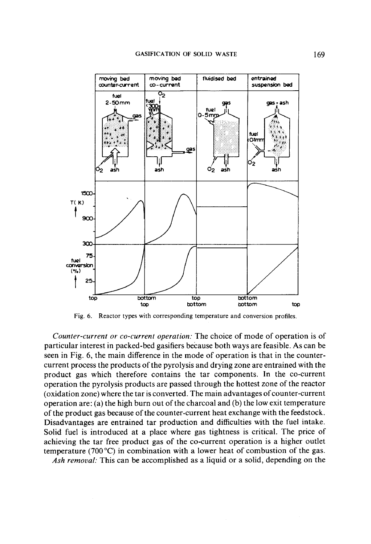

Fig. 6. Reactor types with corresponding temperature and conversion profiles.

*Counter-current or co-current operation."* The choice of mode of operation is of particular interest in packed-bed gasifiers because both ways are feasible. As can be seen in Fig. 6, the main difference in the mode of operation is that in the countercurrent process the products of the pyrolysis and drying zone are entrained with the product gas which therefore contains the tar components. In the co-current operation the pyrolysis products are passed through the hottest zone of the reactor (oxidation zone) where the tar is converted. The main advantages of counter-current operation are: (a) the high burn out of the charcoal and (b) the low exit temperature of the product gas because of the counter-current heat exchange with the feedstock. Disadvantages are entrained tar production and difficulties with the fuel intake. Solid fuel is introduced at a place where gas tightness is critical. The price of achieving the tar free product gas of the co-current operation is a higher outlet temperature (700 °C) in combination with a lower heat of combustion of the gas.

*Ash removal:* This can be accomplished as a liquid or a solid, depending on the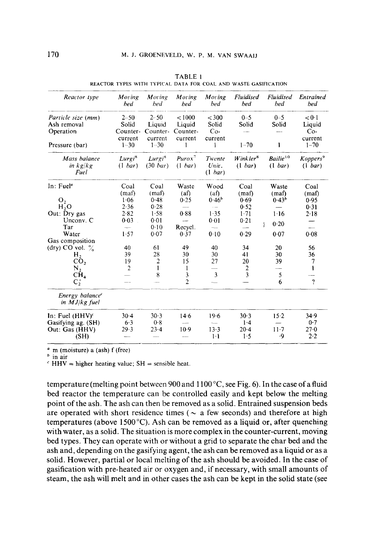| Reactor type                                   | Moring<br>bed                 | Moring<br>bed                       | Moring<br>hed                | Moring<br>bed              | <b>Fluidised</b><br><b>bed</b> | <b>Fluidised</b><br><b>bed</b>  | Entrained<br>bed                |
|------------------------------------------------|-------------------------------|-------------------------------------|------------------------------|----------------------------|--------------------------------|---------------------------------|---------------------------------|
| Particle size (mm)<br>Ash removal<br>Operation | $2 - 50$<br>Solid<br>Counter- | $2 - 50$<br>Liquid<br>Counter-      | < 1000<br>Liquid<br>Counter- | $<$ 300<br>Solid<br>$Co-$  | $0 - 5$<br>Solid               | $0 - 5$<br>Solid                | < 0.1<br>Liquid<br>$Co-$        |
| Pressure (bar)                                 | current<br>$1 - 30$           | current<br>$1 - 30$                 | current<br>1                 | current<br>ł               | $1 - 70$                       | ł                               | current<br>$1 - 70$             |
| Mass balance<br>$\ln k$ g/ $k$ g<br>Fuel       | Lurgi <sup>8</sup><br>(1~bar) | Lurgi <sup>8</sup><br>$(30 \; bar)$ | $Purox^7$<br>(1~bar)         | Twente<br>Univ.<br>(1 bar) | $W$ ink ler $^8$<br>(1~bar)    | Bailie <sup>10</sup><br>(1~bar) | Koppers <sup>9</sup><br>(1 bar) |
| In: Fuel <sup>a</sup>                          | Coal<br>(maf)                 | Coal<br>(maf)                       | Waste<br>(a <sub>f</sub> )   | Wood<br>(a <sub>f</sub> )  | Coal<br>(maf)                  | Waste<br>(maf)                  | Coal<br>(maf)                   |
| О,                                             | 1.06                          | $0-48$                              | 0.25                         | $0.46^{o}$                 | 0.69                           | 0.43 <sup>b</sup>               | 0.95                            |
| H, O                                           | 2.36                          | 0.28                                |                              | $\ddot{\phantom{a}}$       | 0.52                           |                                 | 0.31                            |
| Out: Dry gas                                   | 2.82                          | 1.58                                | 0.88                         | 1.35                       | $1 - 71$                       | 1.16                            | 2.18                            |
| Unconv. C                                      | 0.03                          | 0.01                                | $\sim$                       | 0.01                       | 0.21                           |                                 |                                 |
| Tar                                            | man i                         | 0.10                                | Recycl.                      | $\overline{\phantom{a}}$   |                                | 0.20<br>ł                       | $\overline{\phantom{a}}$        |
| Water                                          | 1.57                          | 0.07                                | 0.37                         | 0.10                       | 0.29                           | 0.07                            | 0.08                            |
| Gas composition                                |                               |                                     |                              |                            |                                |                                 |                                 |
| (dry) CO vol. $\%$                             | 40                            | 61                                  | 49                           | 40                         | 34                             | 20                              | 56                              |
| н,                                             | 39                            | 28                                  | 30                           | 30                         | 41                             | 30                              | 36                              |
| $\overline{CO}_2$                              | 19                            | $\overline{2}$                      | 15                           | 27                         | 20                             | 39                              | 7                               |
| $N_{2}$                                        | $\overline{2}$                | 1                                   | 1                            |                            | $\overline{2}$                 |                                 | ı                               |
| CH <sub>4</sub>                                |                               | 8                                   | 3                            | 3                          | 3                              | 5                               |                                 |
| $C_2^+$                                        | مست                           |                                     | $\overline{2}$               |                            |                                | 6                               | $\gamma$                        |
| Energy balance <sup>c</sup><br>in $MJ/kg$ fuel |                               |                                     |                              |                            |                                |                                 |                                 |
| In: Fuel $(HHV)^c$                             | $30-4$                        | $30-3$                              | 14.6                         | 19.6                       | 30.3                           | $15-2$                          | 34.9                            |
| Gasifying ag. (SH)                             | 6.3                           | 0.8                                 |                              |                            | $1-4$                          |                                 | 0.7                             |
| Out: Gas (HHV)<br>(SH)                         | $29 - 3$                      | $23-4$                              | $10-9$                       | $13-3$<br>$1-1$            | $20-4$<br>1.5                  | $11-7$<br>۰9                    | 27.0<br>2.2                     |

|  |  | TABLE 1 |  |  |                                                                 |  |
|--|--|---------|--|--|-----------------------------------------------------------------|--|
|  |  |         |  |  | REACTOR TYPES WITH TYPICAL DATA FOR COAL AND WASTE GASIFICATION |  |

 $"$  m (moisture) a (ash) f (free)

 $<sup>b</sup>$  in air</sup>

 $\epsilon$  HHV = higher heating value; SH = sensible heat.

temperature (melting point between 900 and 1100 °C, see Fig. 6). In the case of a fluid bed reactor the temperature can be controlled easily and kept below the melting point of the ash. The ash can then be removed as a solid. Entrained suspension beds are operated with short residence times ( $\sim$  a few seconds) and therefore at high temperatures (above 1500 $^{\circ}$ C). Ash can be removed as a liquid or, after quenching with water, as a solid. The situation is more complex in the counter-current, moving bed types. They can operate with or without a grid to separate the char bed and the ash and, depending on the gasifying agent, the ash can be removed as a liquid or as a solid. However, partial or local melting of the ash should be avoided. In the case of gasification with pre-heated air or oxygen and, if necessary, with small amounts of steam, the ash will melt and in other cases the ash can be kept in the solid state (see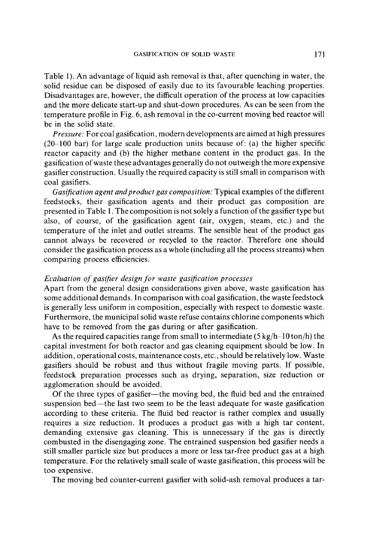Table 1). An advantage of liquid ash removal is that, after quenching in water, the solid residue can be disposed of easily due to its favourable leaching properties. Disadvantages are, however, the difficult operation of the process at low capacities and the more delicate start-up and shut-down procedures. As can be seen from the temperature profile in Fig. 6, ash removal in the co-current moving bed reactor will be in the solid state.

*Pressure."* For coal gasification, modern developments are aimed at high pressures  $(20-100$  bar) for large scale production units because of: (a) the higher specific reactor capacity and (b) the higher methane content in the product gas. In the gasification of waste these advantages generally do not outweigh the more expensive gasifier construction. Usually the required capacity is still small in comparison with coal gasifiers.

*Gasification agent andproduct gas composition:* Typical examples of the different feedstocks, their gasification agents and their product gas composition are presented in Table 1. The composition is not solely a function of the gasifier type but also, of course, of the gasification agent (air, oxygen, steam, etc.) and the temperature of the inlet and outlet streams. The sensible heat of the product gas cannot always be recovered or recycled to the reactor. Therefore one should consider the gasification process as a whole (including all the process streams) when comparing process efficiencies.

# *EL'aluation of gasifier design for waste gasification processes*

Apart from the general design considerations given above, waste gasification has some additional demands. In comparison with coal gasification, the waste feedstock is generally less uniform in composition, especially with respect to domestic waste. Furthermore, the municipal solid waste refuse contains chlorine components which have to be removed from the gas during or after gasification.

As the required capacities range from small to intermediate  $(5 \text{ kg/h} - 10 \text{ ton/h})$  the capital investment for both reactor and gas cleaning equipment should be low. In addition, operational costs, maintenance costs, etc., should be relatively low. Waste gasifiers should be robust and thus without fragile moving parts. If possible, feedstock preparation processes such as drying, separation, size reduction or agglomeration should be avoided.

Of the three types of gasifier—the moving bed, the fluid bed and the entrained suspension bed--the last two seem to be the least adequate for waste gasification according to these criteria. The fluid bed reactor is rather complex and usually requires a size reduction. It produces a product gas with a high tar content, demanding extensive gas cleaning. This is unnecessary if the gas is directly combusted in the disengaging zone. The entrained suspension bed gasifier needs a still smaller particle size but produces a more or less tar-free product gas at a high temperature. For the relatively small scale of waste gasification, this process will be too expensive.

The moving bed counter-current gasifier with solid-ash removal produces a tar-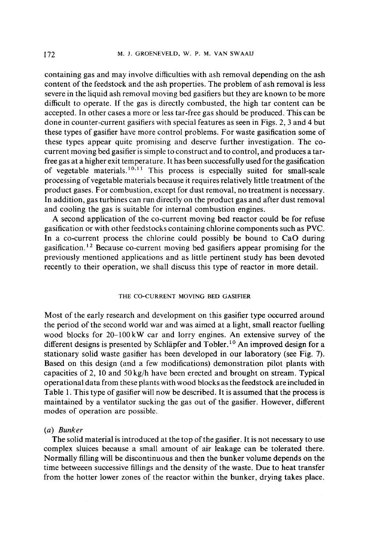containing gas and may involve difficulties with ash removal depending on the ash content of the feedstock and the ash properties. The problem of ash removal is less severe in the liquid ash removal moving bed gasifiers but they are known to be more difficult to operate. If the gas is directly combusted, the high tar content can be accepted. In other cases a more or less tar-free gas should be produced. This can be done in counter-current gasifiers with special features as seen in Figs. 2, 3 and 4 but these types of gasifier have more control problems. For waste gasification some of these types appear quite promising and deserve further investigation. The cocurrent moving bed gasifier is simple to construct and to control, and produces a tarfree gas at a higher exit temperature. It has been successfully used for the gasification of vegetable materials.<sup>10,11</sup> This process is especially suited for small-scale processing of vegetable materials because it requires relatively little treatment of the product gases. For combustion, except for dust removal, no treatment is necessary. In addition, gas turbines can run directly on the product gas and after dust removal and cooling the gas is suitable for internal combustion engines.

A second application of the co-current moving bed reactor could be for refuse gasification or with other feedstocks containing chlorine components such as PVC. In a co-current process the chlorine could possibly be bound to CaO during gasification.<sup>12</sup> Because co-current moving bed gasifiers appear promising for the previously mentioned applications and as little pertinent study has been devoted recently to their operation, we shall discuss this type of reactor in more detail.

## THE CO-CURRENT MOVING BED GASIFIER

Most of the early research and development on this gasifier type occurred around the period of the second world war and was aimed at a light, small reactor fuelling wood blocks for 20-100kW car and lorry engines. An extensive survey of the different designs is presented by Schläpfer and Tobler.<sup>10</sup> An improved design for a stationary solid waste gasifier has been developed in our laboratory (see Fig. 7). Based on this design (and a few modifications) demonstration pilot plants with capacities of 2, 10 and 50 kg/h have been erected and brought on stream. Typical operational data from these plants with wood blocks as the feedstock are included in Table 1. This type of gasifier will now be described. It is assumed that the process is maintained by a ventilator sucking the gas out of the gasifier. However, different modes of operation are possible.

## *(a) Bunker*

The solid material is introduced at the top of the gasifier. It is not necessary to use complex sluices because a small amount of air leakage can be tolerated there. Normally filling will be discontinuous and then the bunker volume depends on the time betweeen successive fillings and the density of the waste. Due to heat transfer from the hotter lower zones of the reactor within the bunker, drying takes place.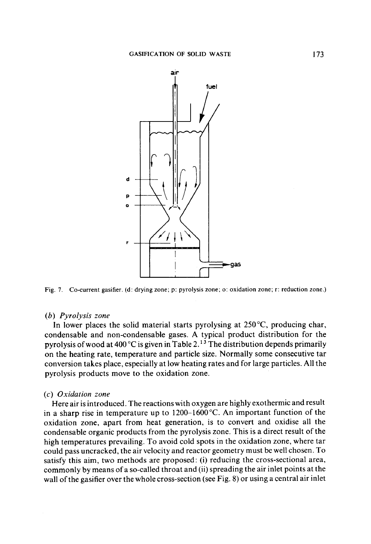

Fig. 7. Co-current gasifier. (d: drying zone; p: pyrolysis zone; o: oxidation zone; r: reduction zone.)

#### *(b) Pyrolysis zone*

In lower places the solid material starts pyrolysing at  $250^{\circ}$ C, producing char, condensable and non-condensable gases. A typical product distribution for the pyrolysis of wood at 400 °C is given in Table 2.<sup>13</sup> The distribution depends primarily on the heating rate, temperature and particle size. Normally some consecutive tar conversion takes place, especially at low heating rates and for large particles. All the pyrolysis products move to the oxidation zone.

## *(c) Oxidation zone*

Here air is introduced. The reactions with oxygen are highly exothermic and result in a sharp rise in temperature up to  $1200-1600^{\circ}$ C. An important function of the oxidation zone, apart from heat generation, is to convert and oxidise all the condensable organic products from the pyrolysis zone. This is a direct result of the high temperatures prevailing. To avoid cold spots in the oxidation zone, where tar could pass uncracked, the air velocity and reactor geometry must be well chosen. To satisfy this aim, two methods are proposed: (i) reducing the cross-sectional area, commonly by means of a so-called throat and (ii) spreading the air inlet points at the wall of the gasifier over the whole cross-section (see Fig. 8) or using a central air inlet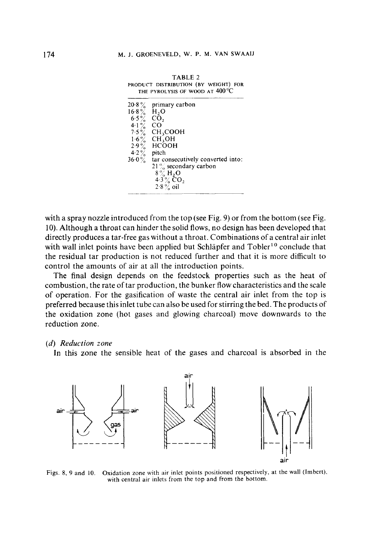TABLE 2

| $20.8\%$                  | primary carbon                    |
|---------------------------|-----------------------------------|
| $16.8\%$ H <sub>2</sub> O |                                   |
| $6.5\%$                   | CO,                               |
| $4.1\%$                   | CO                                |
| $7.5\%$                   | CH,COOH                           |
| $1.6\%$                   | CH, OH                            |
|                           | $2.9\%$ HCOOH                     |
| $4.2\%$                   | pitch                             |
| $36.0\%$                  | tar consecutively converted into: |
|                           | $21\%$ secondary carbon           |
|                           | 8% H,O                            |
|                           | 4.3 $\%$ CO <sub>2</sub>          |
|                           | $2.8\%$ oil                       |

with a spray nozzle introduced from the top (see Fig. 9) or from the bottom (see Fig. 10). Although a throat can hinder the solid flows, no design has been developed that directly produces a tar-free gas without a throat. Combinations of a central air inlet with wall inlet points have been applied but Schläpfer and Tobler<sup>10</sup> conclude that the residual tar production is not reduced further and that it is more difficult to control the amounts of air at all the introduction points.

The final design depends on the feedstock properties such as the heat of combustion, the rate of tar production, the bunker flow characteristics and the scale of operation. For the gasification of waste the central air inlet from the top is preferred because this inlet tube can also be used for stirring the bed. The products of the oxidation zone (hot gases and glowing charcoal) move downwards to the reduction zone.

## *(d) Reduction zone*

In this zone the sensible heat of the gases and charcoal is absorbed in the



Figs. 8, 9 and 10. Oxidation zone with air inlet points positioned respectively, at the wall (lmbert), with central air inlets from the top and from the bottom.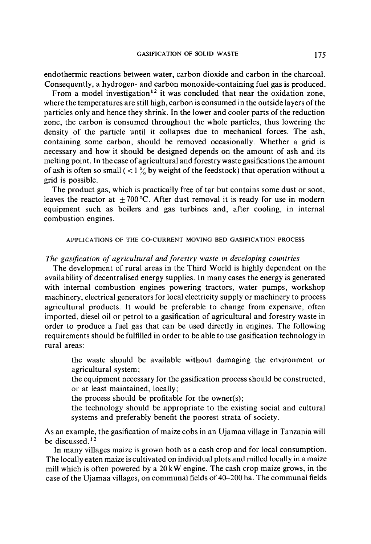endothermic reactions between water, carbon dioxide and carbon in the charcoal. Consequently, a hydrogen- and carbon monoxide-containing fuel gas is produced.

From a model investigation<sup>12</sup> it was concluded that near the oxidation zone, where the temperatures are still high, carbon is consumed in the outside layers of the particles only and hence they shrink. In the lower and cooler parts of the reduction zone, the carbon is consumed throughout the whole particles, thus lowering the density of the particle until it collapses due to mechanical forces. The ash, containing some carbon, should be removed occasionally. Whether a grid is necessary and how it should be designed depends on the amount of ash and its melting point. In the case of agricultural and forestry waste gasifications the amount of ash is often so small ( $\langle 1 \rangle$  by weight of the feedstock) that operation without a grid is possible.

The product gas, which is practically free of tar but contains some dust or soot, leaves the reactor at  $+ 700^{\circ}$ C. After dust removal it is ready for use in modern equipment such as boilers and gas turbines and, after cooling, in internal combustion engines.

## APPLICATIONS OF THE CO-CURRENT MOVING BED GASIFICATION PROCESS

# *The gasification of agricultural and forestry waste in developing countries*

The development of rural areas in the Third World is highly dependent on the availability of decentralised energy supplies. In many cases the energy is generated with internal combustion engines powering tractors, water pumps, workshop machinery, electrical generators for local electricity supply or machinery to process agricultural products. It would be preferable to change from expensive, often imported, diesel oil or petrol to a gasification of agricultural and forestry waste in order to produce a fuel gas that can be used directly in engines. The following requirements should be fulfilled in order to be able to use gasification technology in rural areas:

the waste should be available without damaging the environment or agricultural system;

the equipment necessary for the gasification process should be constructed, or at least maintained, locally;

the process should be profitable for the owner(s);

the technology should be appropriate to the existing social and cultural systems and preferably benefit the poorest strata of society.

As an example, the gasification of maize cobs in an Ujamaa village in Tanzania will be discussed.<sup>12</sup>

In many villages maize is grown both as a cash crop and for local consumption. The locally eaten maize is cultivated on individual plots and milled locally in a maize mill which is often powered by a 20 kW engine. The cash crop maize grows, in the case of the Ujamaa villages, on communal fields of 40-200 ha. The communal fields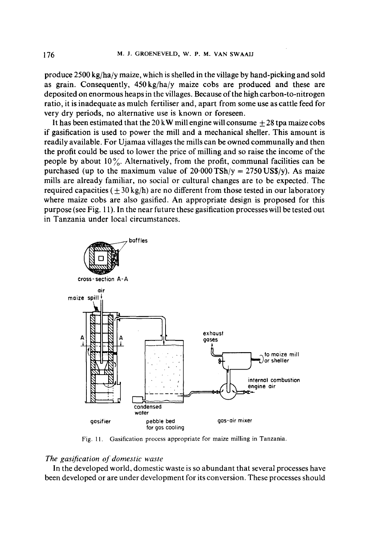produce 2500 kg/ha/y maize, which is shelled in the village by hand-picking and sold as grain. Consequently,  $450 \text{ kg/ha/y}$  maize cobs are produced and these are deposited on enormous heaps in the villages. Because of the high carbon-to-nitrogen ratio, it is inadequate as mulch fertiliser and, apart from some use as cattle feed for very dry periods, no alternative use is known or foreseen.

It has been estimated that the 20 kW mill engine will consume  $+28$  tpa maize cobs if gasification is used to power the mill and a mechanical sheller. This amount is readily available. For Ujamaa villages the mills can be owned communally and then the profit could be used to lower the price of milling and so raise the income of the people by about 10  $\frac{6}{10}$ . Alternatively, from the profit, communal facilities can be purchased (up to the maximum value of  $20.000 \text{ TSh/y} = 2750 \text{ US}(y)$ ). As maize mills are already familiar, no social or cultural changes are to be expected. The required capacities  $( + 30 \text{ kg/h})$  are no different from those tested in our laboratory where maize cobs are also gasified. An appropriate design is proposed for this purpose (see Fig. 11). In the near future these gasification processes will be tested out in Tanzania under local circumstances.



Fig. 11. Gasification process appropriate for maize milling in Tanzania.

# *The gasification of domestic waste*

In the developed world, domestic waste is so abundant that several processes have been developed or are under development for its conversion. These processes should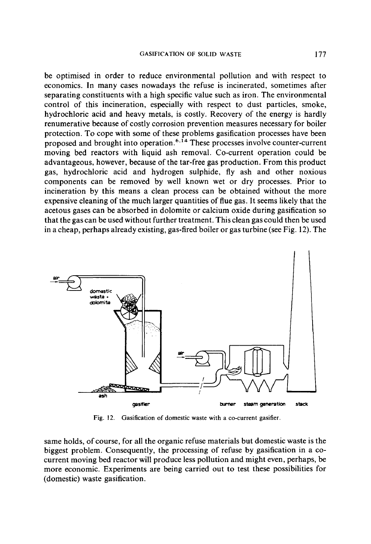be optimised in order to reduce environmental pollution and with respect to economics. In many cases nowadays the refuse is incinerated, sometimes after separating constituents with a high specific value such as iron. The environmental control of this incineration, especially with respect to dust particles, smoke, hydrochloric acid and heavy metals, is costly. Recovery of the energy is hardly renumerative because of costly corrosion prevention measures necessary for boiler protection. To cope with some of these problems gasification processes have been proposed and brought into operation.<sup>6,14</sup> These processes involve counter-current moving bed reactors with liquid ash removal. Co-current operation could be advantageous, however, because of the tar-free gas production. From this product gas, hydrochloric acid and hydrogen sulphide, fly ash and other noxious components can be removed by well known wet or dry processes. Prior to incineration by this means a clean process can be obtained without the more expensive cleaning of the much larger quantities of flue gas. It seems likely that the acetous gases can be absorbed in dolomite or calcium oxide during gasification so that the gas can be used without further treatment. This clean gas could then be used in a cheap, perhaps already existing, gas-fired boiler or gas turbine (see Fig. 12). The



Fig. 12. Gasification of domestic waste with a co-current gasifier.

same holds, of course, for all the organic refuse materials but domestic waste is the biggest problem. Consequently, the processing of refuse by gasification in a cocurrent moving bed reactor will produce less pollution and might even, perhaps, be more economic. Experiments are being carried out to test these possibilities for (domestic) waste gasification.